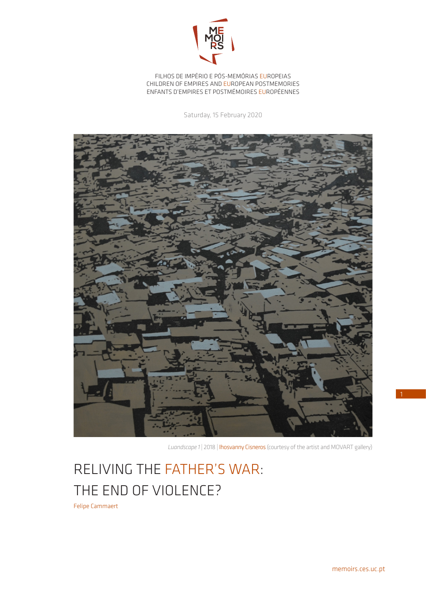

FILHOS DE IMPÉRIO E PÓS-MEMÓRIAS EUROPEIAS CHILDREN OF EMPIRES AND EUROPEAN POSTMEMORIES ENFANTS D'EMPIRES ET POSTMÉMOIRES EUROPÉENNES

Saturday, 15 February 2020



*Luandscape 1* | 2018 | Ihosvanny Cisneros (courtesy of the artist and MOVART gallery)

## RELIVING THE FATHER'S WAR: THE END OF VIOLENCE?

Felipe Cammaert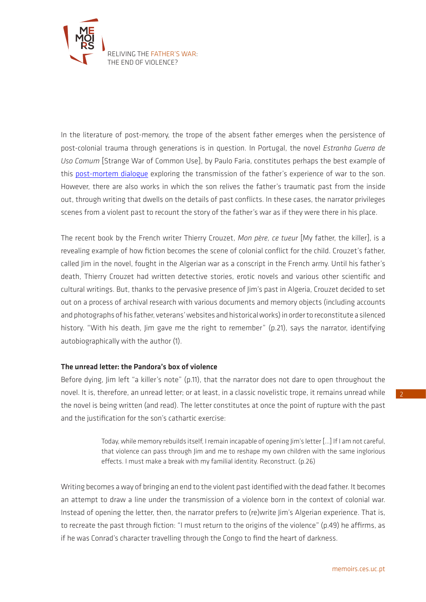

In the literature of post-memory, the trope of the absent father emerges when the persistence of post-colonial trauma through generations is in question. In Portugal, the novel *Estranha Guerra de Uso Comum* [Strange War of Common Use], by Paulo Faria, constitutes perhaps the best example of this [post-mortem dialogue](https://memoirs.ces.uc.pt/ficheiros/4_RESULTS_AND_IMPACT/4.3_NEWSLETTER/MEMOIRS_newsletter_40_FC_en.pdf) exploring the transmission of the father's experience of war to the son. However, there are also works in which the son relives the father's traumatic past from the inside out, through writing that dwells on the details of past conflicts. In these cases, the narrator privileges scenes from a violent past to recount the story of the father's war as if they were there in his place.

The recent book by the French writer Thierry Crouzet, *Mon père, ce tueur* [My father, the killer], is a revealing example of how fiction becomes the scene of colonial conflict for the child. Crouzet's father, called Jim in the novel, fought in the Algerian war as a conscript in the French army. Until his father's death, Thierry Crouzet had written detective stories, erotic novels and various other scientific and cultural writings. But, thanks to the pervasive presence of Jim's past in Algeria, Crouzet decided to set out on a process of archival research with various documents and memory objects (including accounts and photographs of his father, veterans' websites and historical works) in order to reconstitute a silenced history. "With his death, Jim gave me the right to remember" (p.21), says the narrator, identifying autobiographically with the author (1).

## The unread letter: the Pandora's box of violence

Before dying, Jim left "a killer's note" (p.11), that the narrator does not dare to open throughout the novel. It is, therefore, an unread letter; or at least, in a classic novelistic trope, it remains unread while the novel is being written (and read). The letter constitutes at once the point of rupture with the past and the justification for the son's cathartic exercise:

> Today, while memory rebuilds itself, I remain incapable of opening Jim's letter […] If I am not careful, that violence can pass through Jim and me to reshape my own children with the same inglorious effects. I must make a break with my familial identity. Reconstruct. (p.26)

Writing becomes a way of bringing an end to the violent past identified with the dead father. It becomes an attempt to draw a line under the transmission of a violence born in the context of colonial war. Instead of opening the letter, then, the narrator prefers to (re)write Jim's Algerian experience. That is, to recreate the past through fiction: "I must return to the origins of the violence" (p.49) he affirms, as if he was Conrad's character travelling through the Congo to find the heart of darkness.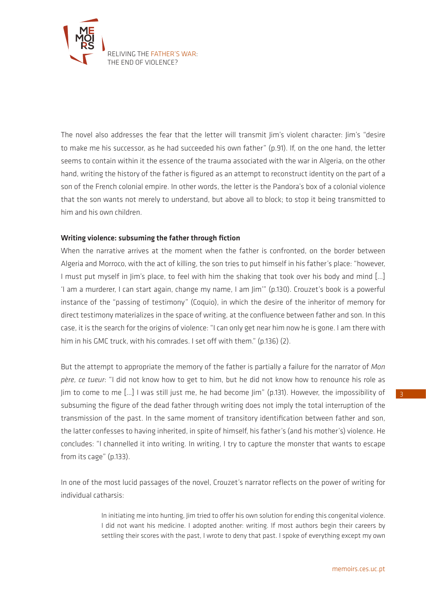

The novel also addresses the fear that the letter will transmit Jim's violent character: Jim's "desire to make me his successor, as he had succeeded his own father" (p.91). If, on the one hand, the letter seems to contain within it the essence of the trauma associated with the war in Algeria, on the other hand, writing the history of the father is figured as an attempt to reconstruct identity on the part of a son of the French colonial empire. In other words, the letter is the Pandora's box of a colonial violence that the son wants not merely to understand, but above all to block; to stop it being transmitted to him and his own children.

## Writing violence: subsuming the father through fiction

When the narrative arrives at the moment when the father is confronted, on the border between Algeria and Morroco, with the act of killing, the son tries to put himself in his father's place: "however, I must put myself in Jim's place, to feel with him the shaking that took over his body and mind […] 'I am a murderer, I can start again, change my name, I am Jim'" (p.130). Crouzet's book is a powerful instance of the "passing of testimony" (Coquio), in which the desire of the inheritor of memory for direct testimony materializes in the space of writing, at the confluence between father and son. In this case, it is the search for the origins of violence: "I can only get near him now he is gone. I am there with him in his GMC truck, with his comrades. I set off with them." (p.136) (2).

But the attempt to appropriate the memory of the father is partially a failure for the narrator of *Mon père, ce tueur*: "I did not know how to get to him, but he did not know how to renounce his role as Jim to come to me […] I was still just me, he had become Jim" (p.131). However, the impossibility of subsuming the figure of the dead father through writing does not imply the total interruption of the transmission of the past. In the same moment of transitory identification between father and son, the latter confesses to having inherited, in spite of himself, his father's (and his mother's) violence. He concludes: "I channelled it into writing. In writing, I try to capture the monster that wants to escape from its cage" (p.133).

In one of the most lucid passages of the novel, Crouzet's narrator reflects on the power of writing for individual catharsis:

> In initiating me into hunting, Iim tried to offer his own solution for ending this congenital violence. I did not want his medicine. I adopted another: writing. If most authors begin their careers by settling their scores with the past, I wrote to deny that past. I spoke of everything except my own